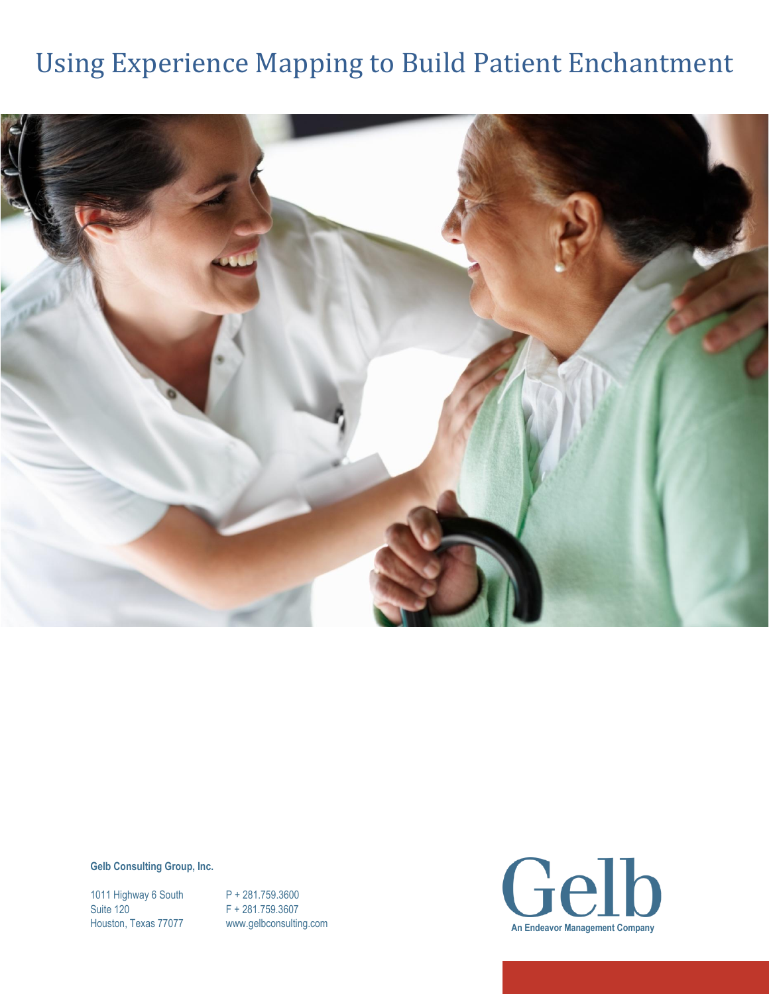

**Gelb Consulting Group, Inc.**

1011 Highway 6 South P + 281.759.3600 Suite 120 F + 281.759.3607

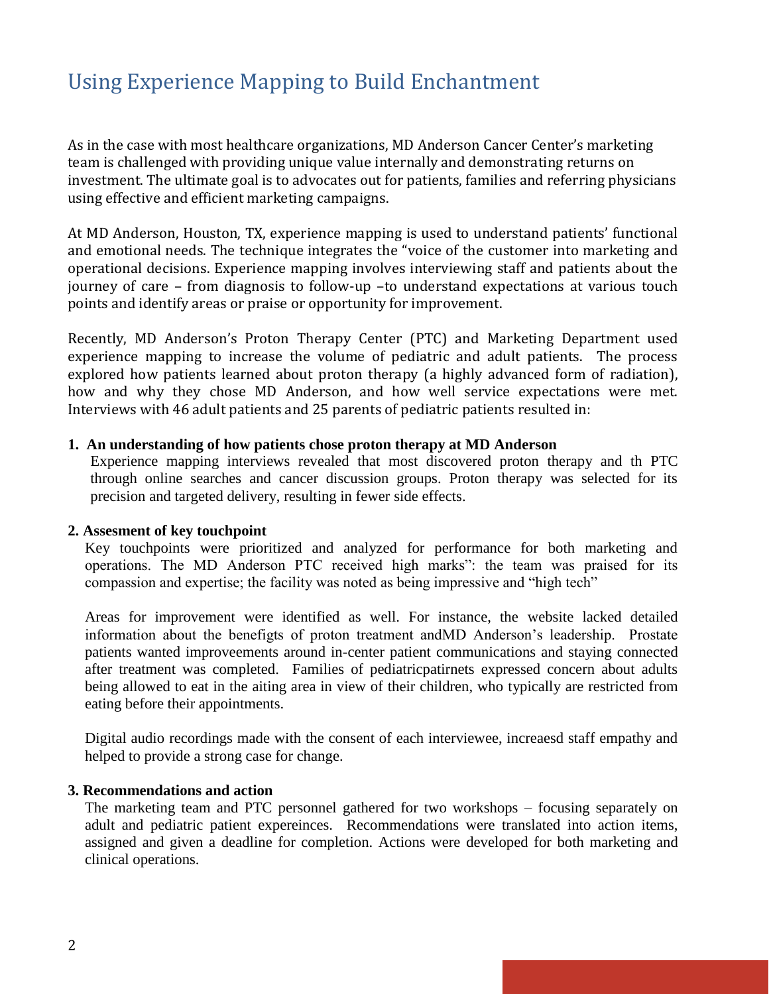As in the case with most healthcare organizations, MD Anderson Cancer Center's marketing team is challenged with providing unique value internally and demonstrating returns on investment. The ultimate goal is to advocates out for patients, families and referring physicians using effective and efficient marketing campaigns.

At MD Anderson, Houston, TX, experience mapping is used to understand patients' functional and emotional needs. The technique integrates the "voice of the customer into marketing and operational decisions. Experience mapping involves interviewing staff and patients about the journey of care – from diagnosis to follow-up –to understand expectations at various touch points and identify areas or praise or opportunity for improvement.

Recently, MD Anderson's Proton Therapy Center (PTC) and Marketing Department used experience mapping to increase the volume of pediatric and adult patients. The process explored how patients learned about proton therapy (a highly advanced form of radiation), how and why they chose MD Anderson, and how well service expectations were met. Interviews with 46 adult patients and 25 parents of pediatric patients resulted in:

#### **1. An understanding of how patients chose proton therapy at MD Anderson**

Experience mapping interviews revealed that most discovered proton therapy and th PTC through online searches and cancer discussion groups. Proton therapy was selected for its precision and targeted delivery, resulting in fewer side effects.

#### **2. Assesment of key touchpoint**

Key touchpoints were prioritized and analyzed for performance for both marketing and operations. The MD Anderson PTC received high marks": the team was praised for its compassion and expertise; the facility was noted as being impressive and "high tech"

Areas for improvement were identified as well. For instance, the website lacked detailed information about the benefigts of proton treatment andMD Anderson's leadership. Prostate patients wanted improveements around in-center patient communications and staying connected after treatment was completed. Families of pediatricpatirnets expressed concern about adults being allowed to eat in the aiting area in view of their children, who typically are restricted from eating before their appointments.

Digital audio recordings made with the consent of each interviewee, increaesd staff empathy and helped to provide a strong case for change.

#### **3. Recommendations and action**

The marketing team and PTC personnel gathered for two workshops – focusing separately on adult and pediatric patient expereinces. Recommendations were translated into action items, assigned and given a deadline for completion. Actions were developed for both marketing and clinical operations.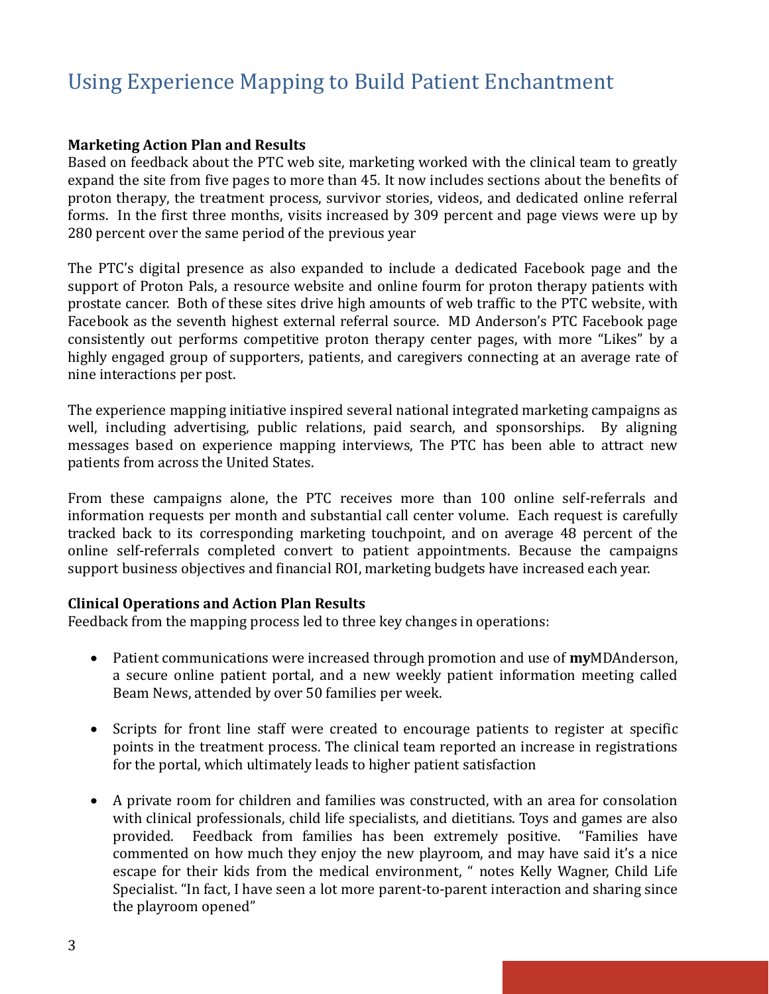### **Marketing Action Plan and Results**

Based on feedback about the PTC web site, marketing worked with the clinical team to greatly expand the site from five pages to more than 45. It now includes sections about the benefits of proton therapy, the treatment process, survivor stories, videos, and dedicated online referral forms. In the first three months, visits increased by 309 percent and page views were up by 280 percent over the same period of the previous year

The PTC's digital presence as also expanded to include a dedicated Facebook page and the support of Proton Pals, a resource website and online fourm for proton therapy patients with prostate cancer. Both of these sites drive high amounts of web traffic to the PTC website, with Facebook as the seventh highest external referral source. MD Anderson's PTC Facebook page consistently out performs competitive proton therapy center pages, with more "Likes" by a highly engaged group of supporters, patients, and caregivers connecting at an average rate of nine interactions per post.

The experience mapping initiative inspired several national integrated marketing campaigns as well, including advertising, public relations, paid search, and sponsorships. By aligning messages based on experience mapping interviews, The PTC has been able to attract new patients from across the United States.

From these campaigns alone, the PTC receives more than 100 online self-referrals and information requests per month and substantial call center volume. Each request is carefully tracked back to its corresponding marketing touchpoint, and on average 48 percent of the online self-referrals completed convert to patient appointments. Because the campaigns support business objectives and financial ROI, marketing budgets have increased each year.

#### **Clinical Operations and Action Plan Results**

Feedback from the mapping process led to three key changes in operations:

- Patient communications were increased through promotion and use of **my**MDAnderson, a secure online patient portal, and a new weekly patient information meeting called Beam News, attended by over 50 families per week.
- Scripts for front line staff were created to encourage patients to register at specific points in the treatment process. The clinical team reported an increase in registrations for the portal, which ultimately leads to higher patient satisfaction
- A private room for children and families was constructed, with an area for consolation with clinical professionals, child life specialists, and dietitians. Toys and games are also provided. Feedback from families has been extremely positive. "Families have commented on how much they enjoy the new playroom, and may have said it's a nice escape for their kids from the medical environment, " notes Kelly Wagner, Child Life Specialist. "In fact, I have seen a lot more parent-to-parent interaction and sharing since the playroom opened"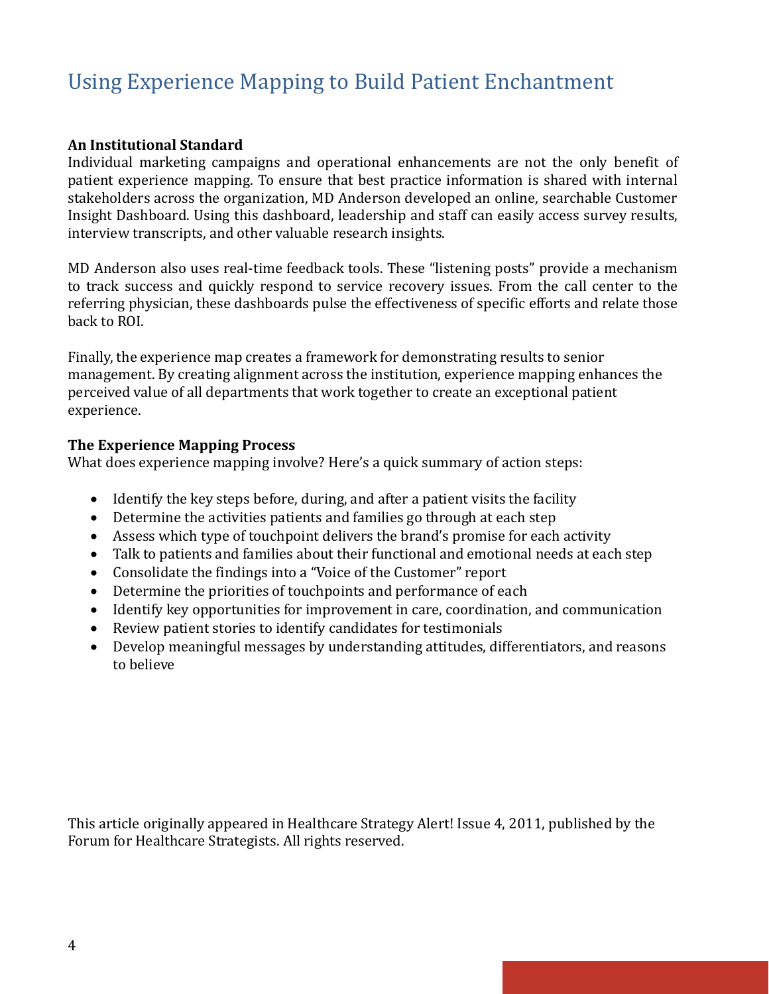### **An Institutional Standard**

Individual marketing campaigns and operational enhancements are not the only benefit of patient experience mapping. To ensure that best practice information is shared with internal stakeholders across the organization, MD Anderson developed an online, searchable Customer Insight Dashboard. Using this dashboard, leadership and staff can easily access survey results, interview transcripts, and other valuable research insights.

MD Anderson also uses real-time feedback tools. These "listening posts" provide a mechanism to track success and quickly respond to service recovery issues. From the call center to the referring physician, these dashboards pulse the effectiveness of specific efforts and relate those back to ROI.

Finally, the experience map creates a framework for demonstrating results to senior management. By creating alignment across the institution, experience mapping enhances the perceived value of all departments that work together to create an exceptional patient experience.

### **The Experience Mapping Process**

What does experience mapping involve? Here's a quick summary of action steps:

- Identify the key steps before, during, and after a patient visits the facility
- Determine the activities patients and families go through at each step
- Assess which type of touchpoint delivers the brand's promise for each activity
- Talk to patients and families about their functional and emotional needs at each step
- Consolidate the findings into a "Voice of the Customer" report
- Determine the priorities of touchpoints and performance of each
- Identify key opportunities for improvement in care, coordination, and communication
- Review patient stories to identify candidates for testimonials
- Develop meaningful messages by understanding attitudes, differentiators, and reasons to believe

This article originally appeared in Healthcare Strategy Alert! Issue 4, 2011, published by the Forum for Healthcare Strategists. All rights reserved.